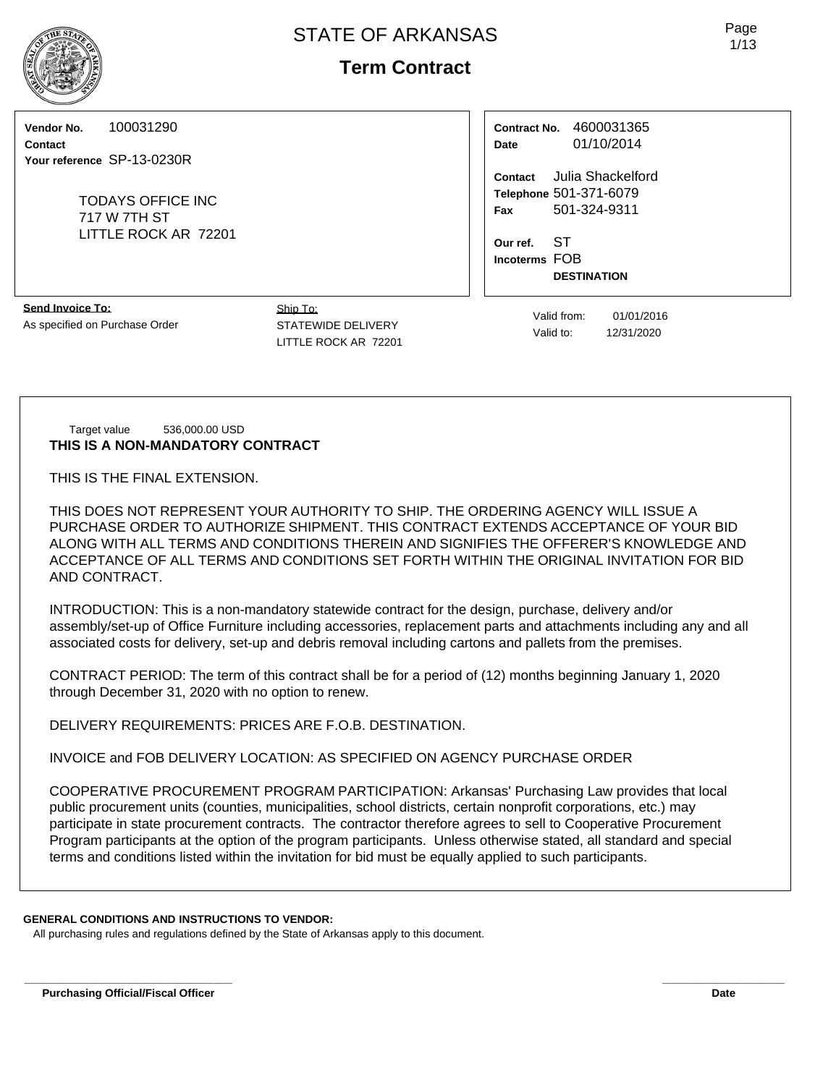**Vendor No.** 100031290

**Contact Your reference** SP-13-0230R

> TODAYS OFFICE INC 717 W 7TH ST LITTLE ROCK AR 72201

**Contract No.** 4600031365 **Date** 01/10/2014

**Contact** Julia Shackelford **Telephone** 501-371-6079 **Fax** 501-324-9311

**Our ref.** ST **Incoterms** FOB **DESTINATION**

**Send Invoice To:** As specified on Purchase Order

Ship To: STATEWIDE DELIVERY LITTLE ROCK AR 72201

Valid from: 01/01/2016 Valid to: 12/31/2020

Target value 536,000.00 USD **THIS IS A NON-MANDATORY CONTRACT**

THIS IS THE FINAL EXTENSION.

THIS DOES NOT REPRESENT YOUR AUTHORITY TO SHIP. THE ORDERING AGENCY WILL ISSUE A PURCHASE ORDER TO AUTHORIZE SHIPMENT. THIS CONTRACT EXTENDS ACCEPTANCE OF YOUR BID ALONG WITH ALL TERMS AND CONDITIONS THEREIN AND SIGNIFIES THE OFFERER'S KNOWLEDGE AND ACCEPTANCE OF ALL TERMS AND CONDITIONS SET FORTH WITHIN THE ORIGINAL INVITATION FOR BID AND CONTRACT.

INTRODUCTION: This is a non-mandatory statewide contract for the design, purchase, delivery and/or assembly/set-up of Office Furniture including accessories, replacement parts and attachments including any and all associated costs for delivery, set-up and debris removal including cartons and pallets from the premises.

CONTRACT PERIOD: The term of this contract shall be for a period of (12) months beginning January 1, 2020 through December 31, 2020 with no option to renew.

DELIVERY REQUIREMENTS: PRICES ARE F.O.B. DESTINATION.

INVOICE and FOB DELIVERY LOCATION: AS SPECIFIED ON AGENCY PURCHASE ORDER

COOPERATIVE PROCUREMENT PROGRAM PARTICIPATION: Arkansas' Purchasing Law provides that local public procurement units (counties, municipalities, school districts, certain nonprofit corporations, etc.) may participate in state procurement contracts. The contractor therefore agrees to sell to Cooperative Procurement Program participants at the option of the program participants. Unless otherwise stated, all standard and special terms and conditions listed within the invitation for bid must be equally applied to such participants.

**\_\_\_\_\_\_\_\_\_\_\_\_\_\_\_\_\_\_\_\_\_\_\_\_\_\_\_\_\_\_\_\_\_\_ \_\_\_\_\_\_\_\_\_\_\_\_\_\_\_\_\_\_\_\_**

## **GENERAL CONDITIONS AND INSTRUCTIONS TO VENDOR:**

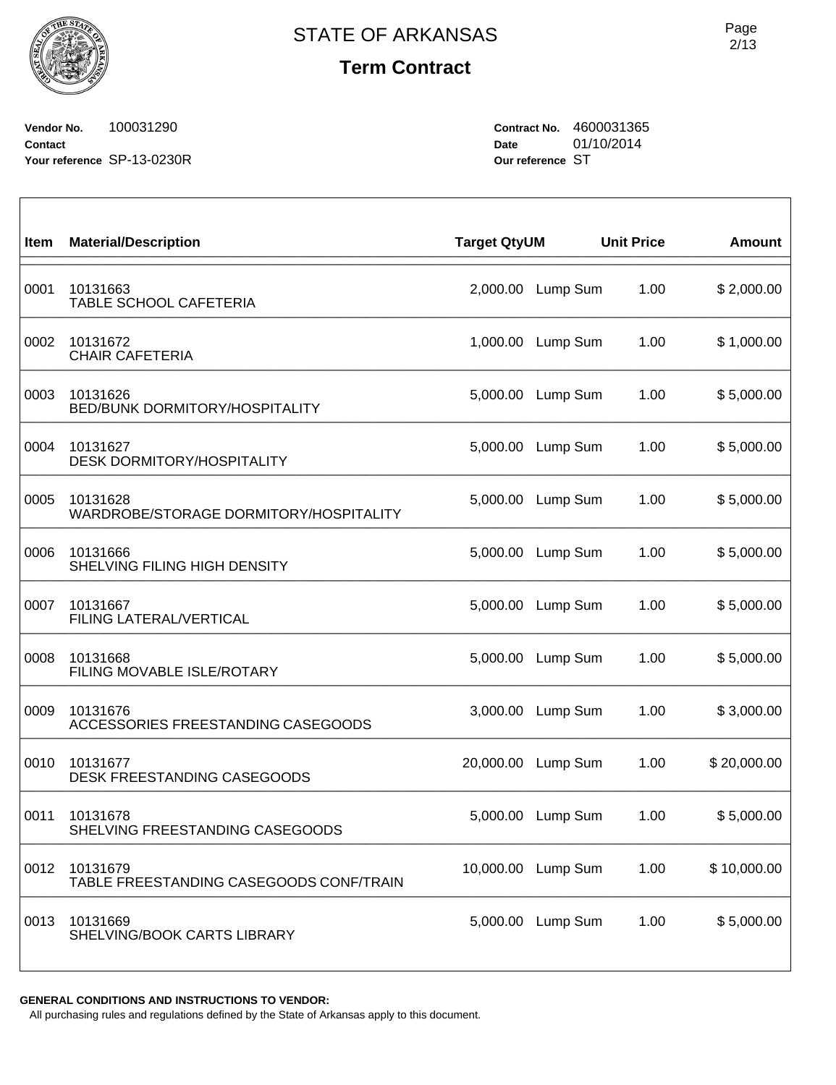**Vendor No.** 100031290 **Contact Your reference** SP-13-0230R **Contract No.** 4600031365 **Date** 01/10/2014 **Our reference** ST

| Item | <b>Material/Description</b>                         | <b>Target QtyUM</b> |          | <b>Unit Price</b> | <b>Amount</b> |
|------|-----------------------------------------------------|---------------------|----------|-------------------|---------------|
| 0001 | 10131663<br><b>TABLE SCHOOL CAFETERIA</b>           | 2,000.00            | Lump Sum | 1.00              | \$2,000.00    |
| 0002 | 10131672<br><b>CHAIR CAFETERIA</b>                  | 1,000.00            | Lump Sum | 1.00              | \$1,000.00    |
| 0003 | 10131626<br>BED/BUNK DORMITORY/HOSPITALITY          | 5,000.00            | Lump Sum | 1.00              | \$5,000.00    |
| 0004 | 10131627<br><b>DESK DORMITORY/HOSPITALITY</b>       | 5,000.00            | Lump Sum | 1.00              | \$5,000.00    |
| 0005 | 10131628<br>WARDROBE/STORAGE DORMITORY/HOSPITALITY  | 5,000.00            | Lump Sum | 1.00              | \$5,000.00    |
| 0006 | 10131666<br>SHELVING FILING HIGH DENSITY            | 5,000.00            | Lump Sum | 1.00              | \$5,000.00    |
| 0007 | 10131667<br>FILING LATERAL/VERTICAL                 | 5,000.00            | Lump Sum | 1.00              | \$5,000.00    |
| 0008 | 10131668<br>FILING MOVABLE ISLE/ROTARY              | 5,000.00            | Lump Sum | 1.00              | \$5,000.00    |
| 0009 | 10131676<br>ACCESSORIES FREESTANDING CASEGOODS      | 3,000.00            | Lump Sum | 1.00              | \$3,000.00    |
| 0010 | 10131677<br>DESK FREESTANDING CASEGOODS             | 20,000.00           | Lump Sum | 1.00              | \$20,000.00   |
| 0011 | 10131678<br>SHELVING FREESTANDING CASEGOODS         | 5,000.00            | Lump Sum | 1.00              | \$5,000.00    |
| 0012 | 10131679<br>TABLE FREESTANDING CASEGOODS CONF/TRAIN | 10,000.00           | Lump Sum | 1.00              | \$10,000.00   |
| 0013 | 10131669<br>SHELVING/BOOK CARTS LIBRARY             | 5,000.00            | Lump Sum | 1.00              | \$5,000.00    |

**GENERAL CONDITIONS AND INSTRUCTIONS TO VENDOR:**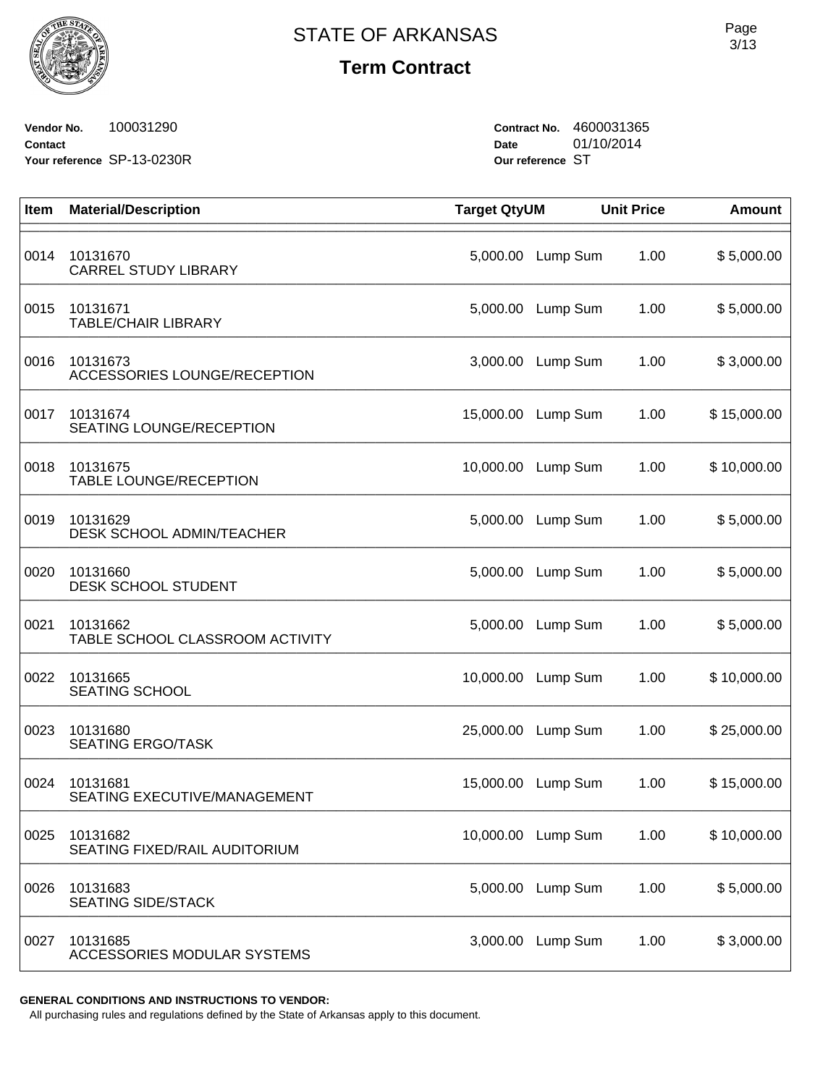**Vendor No.** 100031290 **Contact Your reference** SP-13-0230R **Contract No.** 4600031365 **Date** 01/10/2014 **Our reference** ST

| Item | <b>Material/Description</b>                  | <b>Target QtyUM</b> |                    | <b>Unit Price</b> | <b>Amount</b> |
|------|----------------------------------------------|---------------------|--------------------|-------------------|---------------|
| 0014 | 10131670<br><b>CARREL STUDY LIBRARY</b>      | 5,000.00            | Lump Sum           | 1.00              | \$5,000.00    |
| 0015 | 10131671<br><b>TABLE/CHAIR LIBRARY</b>       | 5,000.00            | Lump Sum           | 1.00              | \$5,000.00    |
| 0016 | 10131673<br>ACCESSORIES LOUNGE/RECEPTION     | 3,000.00            | Lump Sum           | 1.00              | \$3,000.00    |
| 0017 | 10131674<br>SEATING LOUNGE/RECEPTION         | 15,000.00           | Lump Sum           | 1.00              | \$15,000.00   |
| 0018 | 10131675<br><b>TABLE LOUNGE/RECEPTION</b>    | 10,000.00           | Lump Sum           | 1.00              | \$10,000.00   |
| 0019 | 10131629<br><b>DESK SCHOOL ADMIN/TEACHER</b> |                     | 5,000.00 Lump Sum  | 1.00              | \$5,000.00    |
| 0020 | 10131660<br><b>DESK SCHOOL STUDENT</b>       | 5,000.00            | Lump Sum           | 1.00              | \$5,000.00    |
| 0021 | 10131662<br>TABLE SCHOOL CLASSROOM ACTIVITY  | 5,000.00            | Lump Sum           | 1.00              | \$5,000.00    |
| 0022 | 10131665<br><b>SEATING SCHOOL</b>            | 10,000.00           | Lump Sum           | 1.00              | \$10,000.00   |
| 0023 | 10131680<br><b>SEATING ERGO/TASK</b>         | 25,000.00           | Lump Sum           | 1.00              | \$25,000.00   |
| 0024 | 10131681<br>SEATING EXECUTIVE/MANAGEMENT     | 15,000.00           | Lump Sum           | 1.00              | \$15,000.00   |
| 0025 | 10131682<br>SEATING FIXED/RAIL AUDITORIUM    |                     | 10,000.00 Lump Sum | 1.00              | \$10,000.00   |
| 0026 | 10131683<br><b>SEATING SIDE/STACK</b>        | 5,000.00            | Lump Sum           | 1.00              | \$5,000.00    |
| 0027 | 10131685<br>ACCESSORIES MODULAR SYSTEMS      | 3,000.00            | Lump Sum           | 1.00              | \$3,000.00    |

**GENERAL CONDITIONS AND INSTRUCTIONS TO VENDOR:**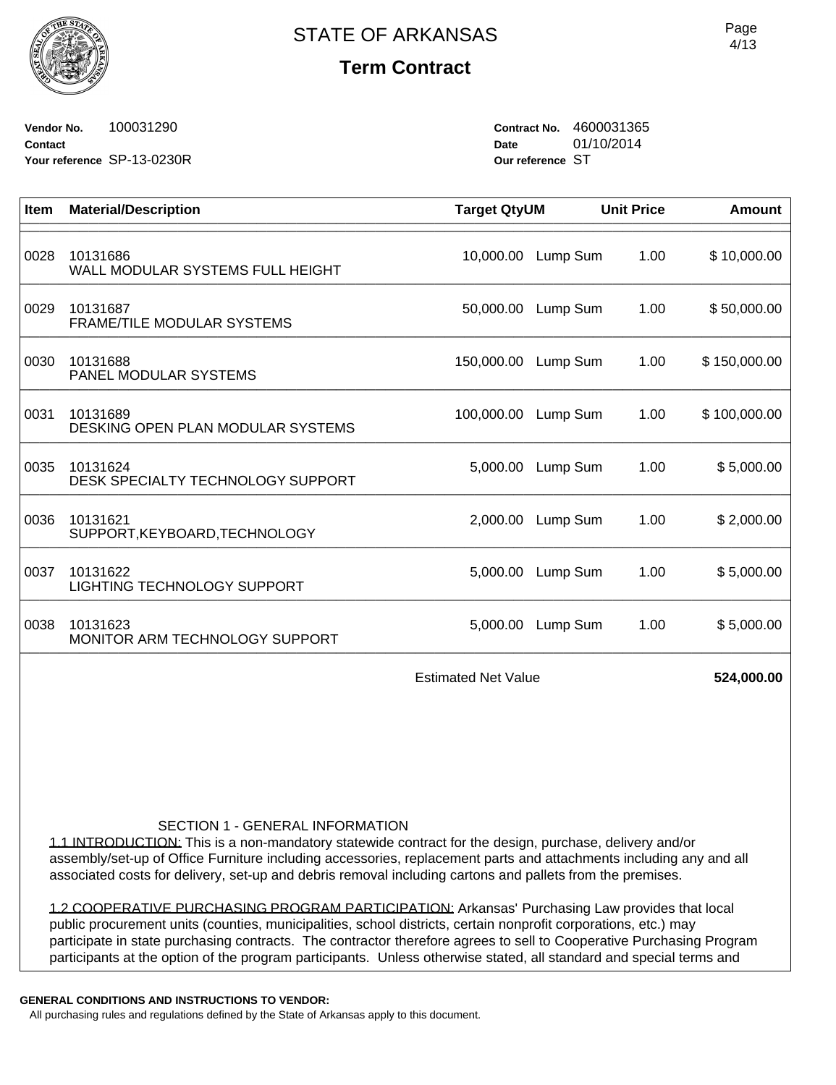

**Vendor No.** 100031290 **Contact Your reference** SP-13-0230R **Contract No.** 4600031365 **Date** 01/10/2014 **Our reference** ST

| Item | <b>Material/Description</b>                    | <b>Target QtyUM</b> |          | <b>Unit Price</b> | <b>Amount</b> |
|------|------------------------------------------------|---------------------|----------|-------------------|---------------|
| 0028 | 10131686<br>WALL MODULAR SYSTEMS FULL HEIGHT   | 10,000.00           | Lump Sum | 1.00              | \$10,000.00   |
| 0029 | 10131687<br>FRAME/TILE MODULAR SYSTEMS         | 50,000.00           | Lump Sum | 1.00              | \$50,000.00   |
| 0030 | 10131688<br>PANEL MODULAR SYSTEMS              | 150,000.00          | Lump Sum | 1.00              | \$150,000.00  |
| 0031 | 10131689<br>DESKING OPEN PLAN MODULAR SYSTEMS  | 100,000.00          | Lump Sum | 1.00              | \$100,000.00  |
| 0035 | 10131624<br>DESK SPECIALTY TECHNOLOGY SUPPORT  | 5,000.00            | Lump Sum | 1.00              | \$5,000.00    |
| 0036 | 10131621<br>SUPPORT, KEYBOARD, TECHNOLOGY      | 2,000.00            | Lump Sum | 1.00              | \$2,000.00    |
| 0037 | 10131622<br><b>LIGHTING TECHNOLOGY SUPPORT</b> | 5,000.00            | Lump Sum | 1.00              | \$5,000.00    |
| 0038 | 10131623<br>MONITOR ARM TECHNOLOGY SUPPORT     | 5,000.00            | Lump Sum | 1.00              | \$5,000.00    |
|      | <b>Estimated Net Value</b>                     |                     |          | 524,000.00        |               |

## SECTION 1 - GENERAL INFORMATION

1.1 INTRODUCTION: This is a non-mandatory statewide contract for the design, purchase, delivery and/or assembly/set-up of Office Furniture including accessories, replacement parts and attachments including any and all associated costs for delivery, set-up and debris removal including cartons and pallets from the premises.

1.2 COOPERATIVE PURCHASING PROGRAM PARTICIPATION: Arkansas' Purchasing Law provides that local public procurement units (counties, municipalities, school districts, certain nonprofit corporations, etc.) may participate in state purchasing contracts. The contractor therefore agrees to sell to Cooperative Purchasing Program participants at the option of the program participants. Unless otherwise stated, all standard and special terms and

**GENERAL CONDITIONS AND INSTRUCTIONS TO VENDOR:**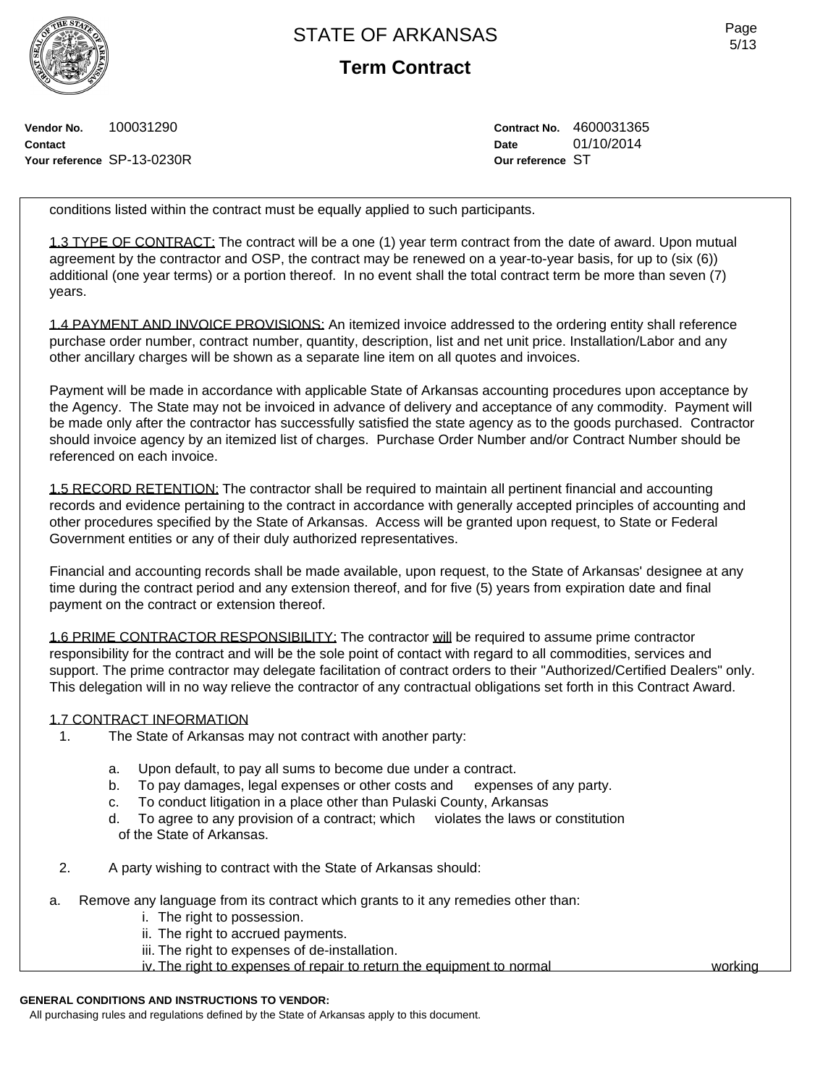**Term Contract**

**Vendor No.** 100031290 **Contact Your reference** SP-13-0230R **Contract No.** 4600031365 **Date** 01/10/2014 **Our reference** ST

conditions listed within the contract must be equally applied to such participants.

1.3 TYPE OF CONTRACT: The contract will be a one (1) year term contract from the date of award. Upon mutual agreement by the contractor and OSP, the contract may be renewed on a year-to-year basis, for up to (six (6)) additional (one year terms) or a portion thereof. In no event shall the total contract term be more than seven (7) years.

1.4 PAYMENT AND INVOICE PROVISIONS: An itemized invoice addressed to the ordering entity shall reference purchase order number, contract number, quantity, description, list and net unit price. Installation/Labor and any other ancillary charges will be shown as a separate line item on all quotes and invoices.

Payment will be made in accordance with applicable State of Arkansas accounting procedures upon acceptance by the Agency. The State may not be invoiced in advance of delivery and acceptance of any commodity. Payment will be made only after the contractor has successfully satisfied the state agency as to the goods purchased. Contractor should invoice agency by an itemized list of charges. Purchase Order Number and/or Contract Number should be referenced on each invoice.

1.5 RECORD RETENTION: The contractor shall be required to maintain all pertinent financial and accounting records and evidence pertaining to the contract in accordance with generally accepted principles of accounting and other procedures specified by the State of Arkansas. Access will be granted upon request, to State or Federal Government entities or any of their duly authorized representatives.

Financial and accounting records shall be made available, upon request, to the State of Arkansas' designee at any time during the contract period and any extension thereof, and for five (5) years from expiration date and final payment on the contract or extension thereof.

1.6 PRIME CONTRACTOR RESPONSIBILITY: The contractor will be required to assume prime contractor responsibility for the contract and will be the sole point of contact with regard to all commodities, services and support. The prime contractor may delegate facilitation of contract orders to their "Authorized/Certified Dealers" only. This delegation will in no way relieve the contractor of any contractual obligations set forth in this Contract Award.

### 1.7 CONTRACT INFORMATION

- 1. The State of Arkansas may not contract with another party:
	- a. Upon default, to pay all sums to become due under a contract.
	- b. To pay damages, legal expenses or other costs and expenses of any party.
	- c. To conduct litigation in a place other than Pulaski County, Arkansas
	- d. To agree to any provision of a contract; which violates the laws or constitution of the State of Arkansas.
- 2. A party wishing to contract with the State of Arkansas should:
- a. Remove any language from its contract which grants to it any remedies other than:
	- i. The right to possession.
	- ii. The right to accrued payments.
	- iii. The right to expenses of de-installation.
	- iv. The right to expenses of repair to return the equipment to normal working

### **GENERAL CONDITIONS AND INSTRUCTIONS TO VENDOR:**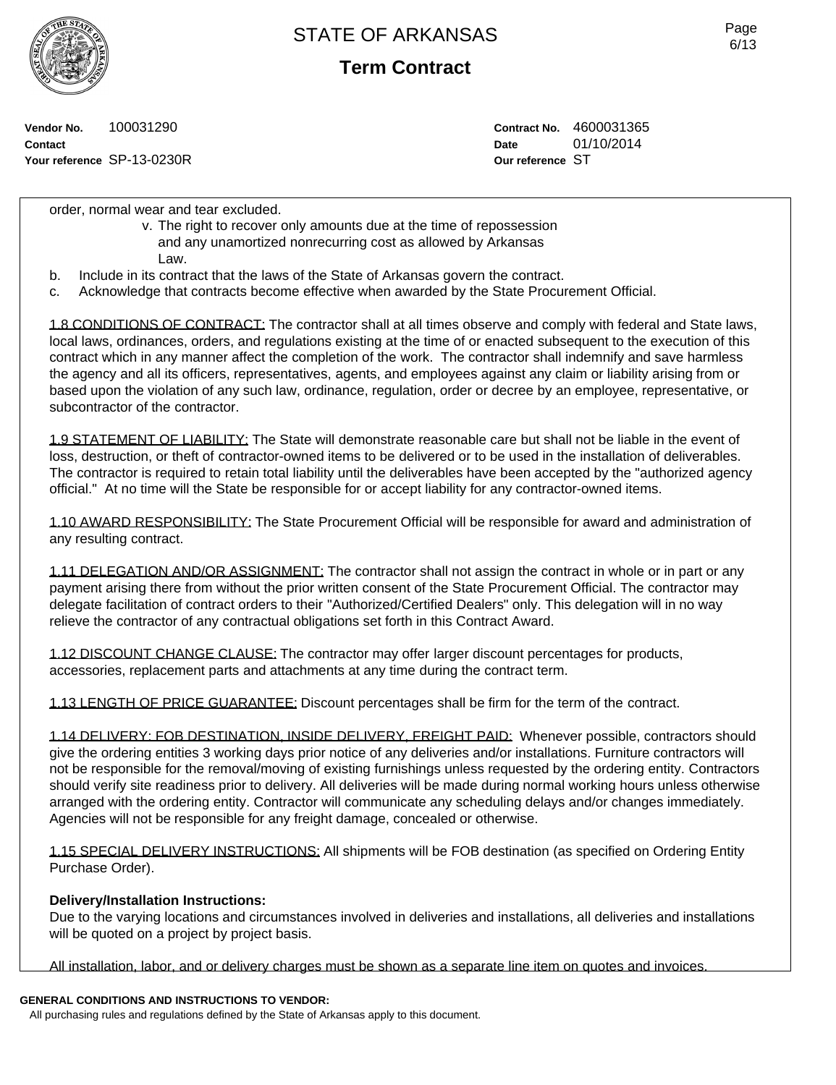**Term Contract**

**Vendor No.** 100031290 **Contact Your reference** SP-13-0230R **Contract No.** 4600031365 **Date** 01/10/2014 **Our reference** ST

order, normal wear and tear excluded.

- v. The right to recover only amounts due at the time of repossession and any unamortized nonrecurring cost as allowed by Arkansas Law.
- b. Include in its contract that the laws of the State of Arkansas govern the contract.
- c. Acknowledge that contracts become effective when awarded by the State Procurement Official.

1.8 CONDITIONS OF CONTRACT: The contractor shall at all times observe and comply with federal and State laws, local laws, ordinances, orders, and regulations existing at the time of or enacted subsequent to the execution of this contract which in any manner affect the completion of the work. The contractor shall indemnify and save harmless the agency and all its officers, representatives, agents, and employees against any claim or liability arising from or based upon the violation of any such law, ordinance, regulation, order or decree by an employee, representative, or subcontractor of the contractor.

1.9 STATEMENT OF LIABILITY: The State will demonstrate reasonable care but shall not be liable in the event of loss, destruction, or theft of contractor-owned items to be delivered or to be used in the installation of deliverables. The contractor is required to retain total liability until the deliverables have been accepted by the "authorized agency official." At no time will the State be responsible for or accept liability for any contractor-owned items.

1.10 AWARD RESPONSIBILITY: The State Procurement Official will be responsible for award and administration of any resulting contract.

1.11 DELEGATION AND/OR ASSIGNMENT: The contractor shall not assign the contract in whole or in part or any payment arising there from without the prior written consent of the State Procurement Official. The contractor may delegate facilitation of contract orders to their "Authorized/Certified Dealers" only. This delegation will in no way relieve the contractor of any contractual obligations set forth in this Contract Award.

1.12 DISCOUNT CHANGE CLAUSE: The contractor may offer larger discount percentages for products, accessories, replacement parts and attachments at any time during the contract term.

1.13 LENGTH OF PRICE GUARANTEE: Discount percentages shall be firm for the term of the contract.

1.14 DELIVERY: FOB DESTINATION, INSIDE DELIVERY, FREIGHT PAID: Whenever possible, contractors should give the ordering entities 3 working days prior notice of any deliveries and/or installations. Furniture contractors will not be responsible for the removal/moving of existing furnishings unless requested by the ordering entity. Contractors should verify site readiness prior to delivery. All deliveries will be made during normal working hours unless otherwise arranged with the ordering entity. Contractor will communicate any scheduling delays and/or changes immediately. Agencies will not be responsible for any freight damage, concealed or otherwise.

1.15 SPECIAL DELIVERY INSTRUCTIONS: All shipments will be FOB destination (as specified on Ordering Entity Purchase Order).

## **Delivery/Installation Instructions:**

Due to the varying locations and circumstances involved in deliveries and installations, all deliveries and installations will be quoted on a project by project basis.

All installation, labor, and or delivery charges must be shown as a separate line item on quotes and invoices.

## **GENERAL CONDITIONS AND INSTRUCTIONS TO VENDOR:**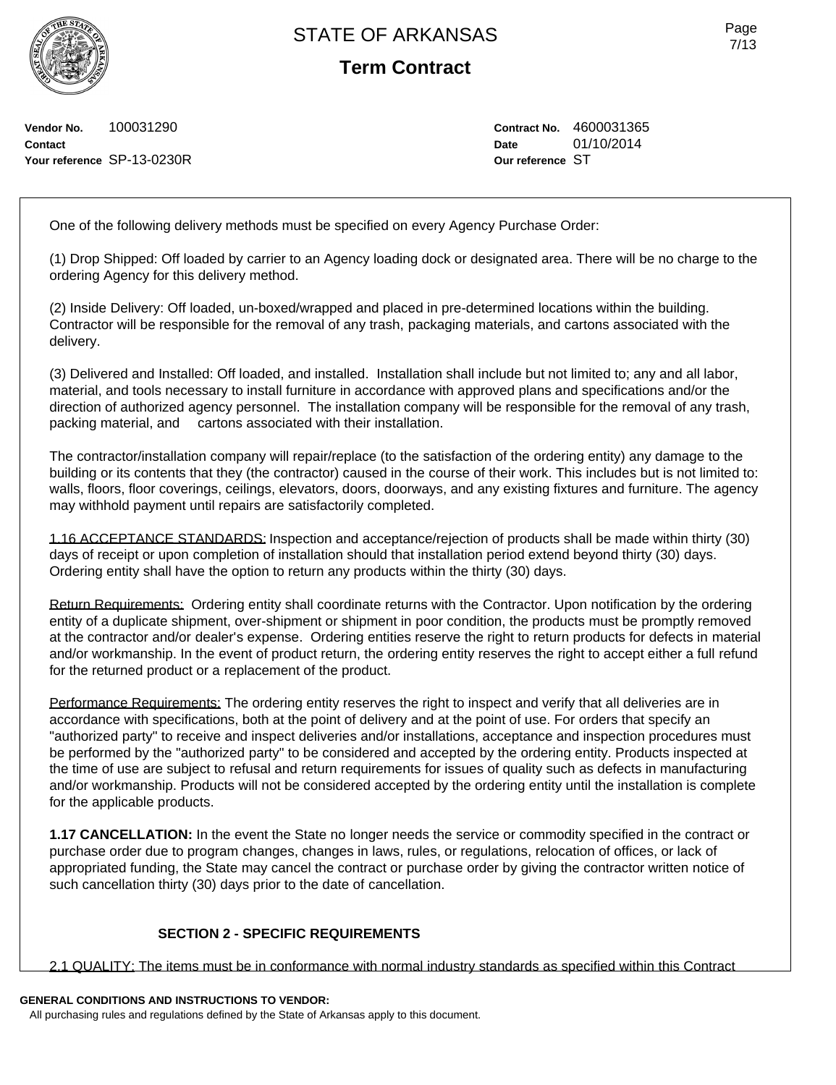**Term Contract**

**Vendor No.** 100031290 **Contact Your reference** SP-13-0230R **Contract No.** 4600031365 **Date** 01/10/2014 **Our reference** ST

One of the following delivery methods must be specified on every Agency Purchase Order:

(1) Drop Shipped: Off loaded by carrier to an Agency loading dock or designated area. There will be no charge to the ordering Agency for this delivery method.

(2) Inside Delivery: Off loaded, un-boxed/wrapped and placed in pre-determined locations within the building. Contractor will be responsible for the removal of any trash, packaging materials, and cartons associated with the delivery.

(3) Delivered and Installed: Off loaded, and installed. Installation shall include but not limited to; any and all labor, material, and tools necessary to install furniture in accordance with approved plans and specifications and/or the direction of authorized agency personnel. The installation company will be responsible for the removal of any trash, packing material, and cartons associated with their installation.

The contractor/installation company will repair/replace (to the satisfaction of the ordering entity) any damage to the building or its contents that they (the contractor) caused in the course of their work. This includes but is not limited to: walls, floors, floor coverings, ceilings, elevators, doors, doorways, and any existing fixtures and furniture. The agency may withhold payment until repairs are satisfactorily completed.

1.16 ACCEPTANCE STANDARDS: Inspection and acceptance/rejection of products shall be made within thirty (30) days of receipt or upon completion of installation should that installation period extend beyond thirty (30) days. Ordering entity shall have the option to return any products within the thirty (30) days.

Return Requirements: Ordering entity shall coordinate returns with the Contractor. Upon notification by the ordering entity of a duplicate shipment, over-shipment or shipment in poor condition, the products must be promptly removed at the contractor and/or dealer's expense. Ordering entities reserve the right to return products for defects in material and/or workmanship. In the event of product return, the ordering entity reserves the right to accept either a full refund for the returned product or a replacement of the product.

Performance Requirements: The ordering entity reserves the right to inspect and verify that all deliveries are in accordance with specifications, both at the point of delivery and at the point of use. For orders that specify an "authorized party" to receive and inspect deliveries and/or installations, acceptance and inspection procedures must be performed by the "authorized party" to be considered and accepted by the ordering entity. Products inspected at the time of use are subject to refusal and return requirements for issues of quality such as defects in manufacturing and/or workmanship. Products will not be considered accepted by the ordering entity until the installation is complete for the applicable products.

**1.17 CANCELLATION:** In the event the State no longer needs the service or commodity specified in the contract or purchase order due to program changes, changes in laws, rules, or regulations, relocation of offices, or lack of appropriated funding, the State may cancel the contract or purchase order by giving the contractor written notice of such cancellation thirty (30) days prior to the date of cancellation.

## **SECTION 2 - SPECIFIC REQUIREMENTS**

2.1 QUALITY: The items must be in conformance with normal industry standards as specified within this Contract

## **GENERAL CONDITIONS AND INSTRUCTIONS TO VENDOR:**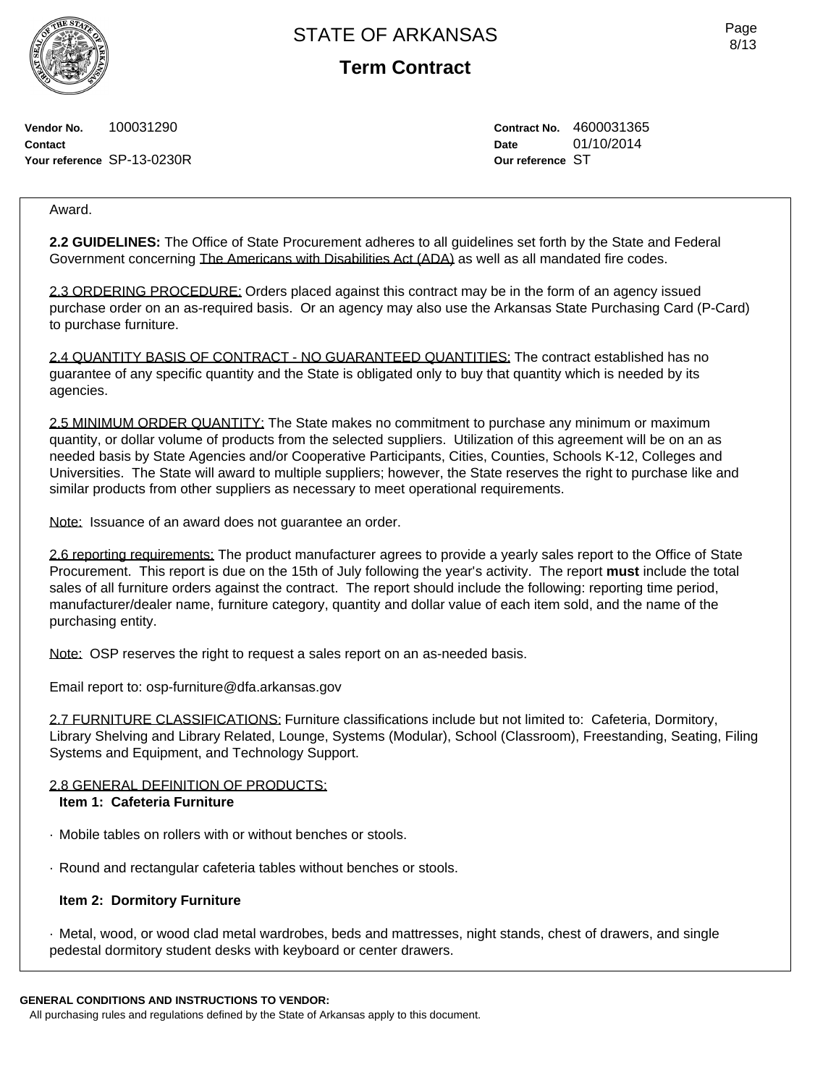**Term Contract**

**Vendor No.** 100031290 **Contact Your reference** SP-13-0230R **Contract No.** 4600031365 **Date** 01/10/2014 **Our reference** ST

## Award.

**2.2 GUIDELINES:** The Office of State Procurement adheres to all guidelines set forth by the State and Federal Government concerning The Americans with Disabilities Act (ADA) as well as all mandated fire codes.

2.3 ORDERING PROCEDURE: Orders placed against this contract may be in the form of an agency issued purchase order on an as-required basis. Or an agency may also use the Arkansas State Purchasing Card (P-Card) to purchase furniture.

2.4 QUANTITY BASIS OF CONTRACT - NO GUARANTEED QUANTITIES: The contract established has no guarantee of any specific quantity and the State is obligated only to buy that quantity which is needed by its agencies.

2.5 MINIMUM ORDER QUANTITY: The State makes no commitment to purchase any minimum or maximum quantity, or dollar volume of products from the selected suppliers. Utilization of this agreement will be on an as needed basis by State Agencies and/or Cooperative Participants, Cities, Counties, Schools K-12, Colleges and Universities. The State will award to multiple suppliers; however, the State reserves the right to purchase like and similar products from other suppliers as necessary to meet operational requirements.

Note: Issuance of an award does not guarantee an order.

2.6 reporting requirements: The product manufacturer agrees to provide a yearly sales report to the Office of State Procurement. This report is due on the 15th of July following the year's activity. The report **must** include the total sales of all furniture orders against the contract. The report should include the following: reporting time period, manufacturer/dealer name, furniture category, quantity and dollar value of each item sold, and the name of the purchasing entity.

Note: OSP reserves the right to request a sales report on an as-needed basis.

Email report to: osp-furniture@dfa.arkansas.gov

2.7 FURNITURE CLASSIFICATIONS: Furniture classifications include but not limited to: Cafeteria, Dormitory, Library Shelving and Library Related, Lounge, Systems (Modular), School (Classroom), Freestanding, Seating, Filing Systems and Equipment, and Technology Support.

### 2.8 GENERAL DEFINITION OF PRODUCTS:

## **Item 1: Cafeteria Furniture**

- · Mobile tables on rollers with or without benches or stools.
- · Round and rectangular cafeteria tables without benches or stools.

### **Item 2: Dormitory Furniture**

· Metal, wood, or wood clad metal wardrobes, beds and mattresses, night stands, chest of drawers, and single pedestal dormitory student desks with keyboard or center drawers.

### **GENERAL CONDITIONS AND INSTRUCTIONS TO VENDOR:**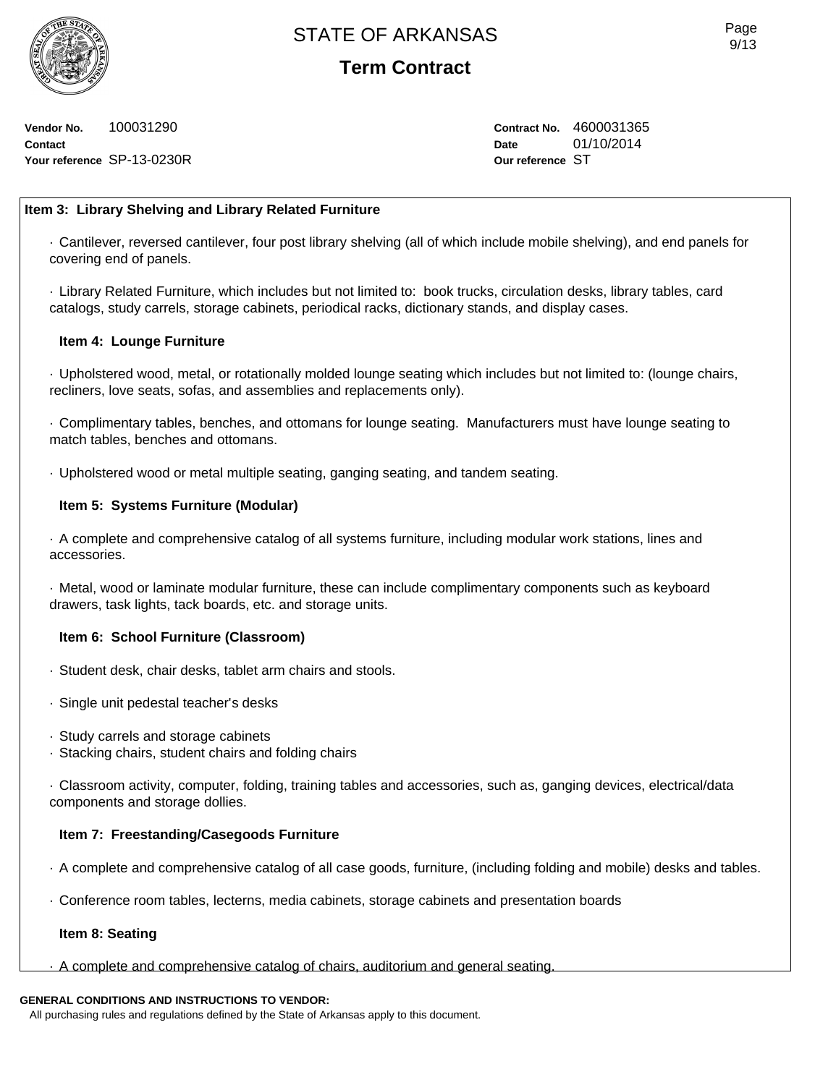

**Vendor No.** 100031290 **Contact Your reference** SP-13-0230R **Contract No.** 4600031365 **Date** 01/10/2014 **Our reference** ST

## **Item 3: Library Shelving and Library Related Furniture**

· Cantilever, reversed cantilever, four post library shelving (all of which include mobile shelving), and end panels for covering end of panels.

· Library Related Furniture, which includes but not limited to: book trucks, circulation desks, library tables, card catalogs, study carrels, storage cabinets, periodical racks, dictionary stands, and display cases.

## **Item 4: Lounge Furniture**

· Upholstered wood, metal, or rotationally molded lounge seating which includes but not limited to: (lounge chairs, recliners, love seats, sofas, and assemblies and replacements only).

· Complimentary tables, benches, and ottomans for lounge seating. Manufacturers must have lounge seating to match tables, benches and ottomans.

· Upholstered wood or metal multiple seating, ganging seating, and tandem seating.

## **Item 5: Systems Furniture (Modular)**

· A complete and comprehensive catalog of all systems furniture, including modular work stations, lines and accessories.

· Metal, wood or laminate modular furniture, these can include complimentary components such as keyboard drawers, task lights, tack boards, etc. and storage units.

### **Item 6: School Furniture (Classroom)**

- · Student desk, chair desks, tablet arm chairs and stools.
- · Single unit pedestal teacher's desks
- · Study carrels and storage cabinets
- · Stacking chairs, student chairs and folding chairs

· Classroom activity, computer, folding, training tables and accessories, such as, ganging devices, electrical/data components and storage dollies.

## **Item 7: Freestanding/Casegoods Furniture**

- · A complete and comprehensive catalog of all case goods, furniture, (including folding and mobile) desks and tables.
- · Conference room tables, lecterns, media cabinets, storage cabinets and presentation boards

### **Item 8: Seating**

· A complete and comprehensive catalog of chairs, auditorium and general seating.

## **GENERAL CONDITIONS AND INSTRUCTIONS TO VENDOR:**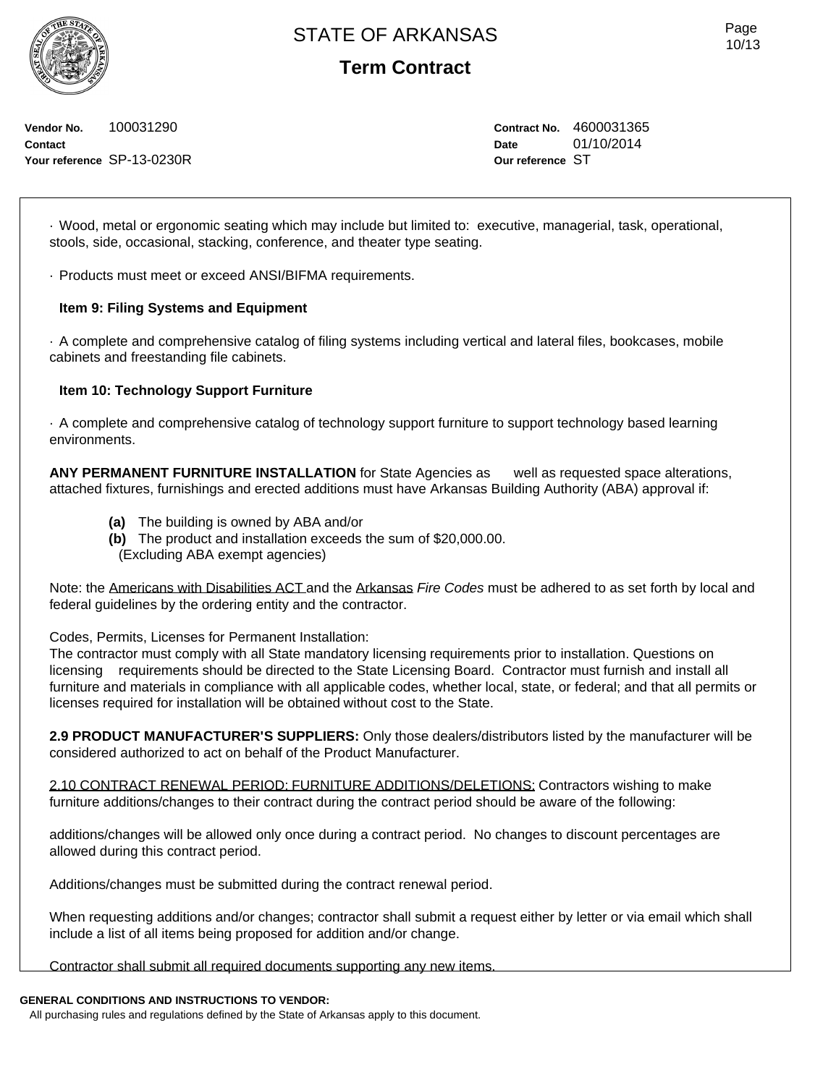**Vendor No.** 100031290 **Contact Your reference** SP-13-0230R **Contract No.** 4600031365 **Date** 01/10/2014 **Our reference** ST

· Wood, metal or ergonomic seating which may include but limited to: executive, managerial, task, operational, stools, side, occasional, stacking, conference, and theater type seating.

· Products must meet or exceed ANSI/BIFMA requirements.

## **Item 9: Filing Systems and Equipment**

· A complete and comprehensive catalog of filing systems including vertical and lateral files, bookcases, mobile cabinets and freestanding file cabinets.

## **Item 10: Technology Support Furniture**

· A complete and comprehensive catalog of technology support furniture to support technology based learning environments.

**ANY PERMANENT FURNITURE INSTALLATION** for State Agencies as well as requested space alterations, attached fixtures, furnishings and erected additions must have Arkansas Building Authority (ABA) approval if:

- **(a)** The building is owned by ABA and/or
- **(b)** The product and installation exceeds the sum of \$20,000.00. (Excluding ABA exempt agencies)

Note: the Americans with Disabilities ACT and the Arkansas *Fire Codes* must be adhered to as set forth by local and federal guidelines by the ordering entity and the contractor.

Codes, Permits, Licenses for Permanent Installation:

The contractor must comply with all State mandatory licensing requirements prior to installation. Questions on licensing requirements should be directed to the State Licensing Board. Contractor must furnish and install all furniture and materials in compliance with all applicable codes, whether local, state, or federal; and that all permits or licenses required for installation will be obtained without cost to the State.

**2.9 PRODUCT MANUFACTURER'S SUPPLIERS:** Only those dealers/distributors listed by the manufacturer will be considered authorized to act on behalf of the Product Manufacturer.

2.10 CONTRACT RENEWAL PERIOD: FURNITURE ADDITIONS/DELETIONS: Contractors wishing to make furniture additions/changes to their contract during the contract period should be aware of the following:

additions/changes will be allowed only once during a contract period. No changes to discount percentages are allowed during this contract period.

Additions/changes must be submitted during the contract renewal period.

When requesting additions and/or changes; contractor shall submit a request either by letter or via email which shall include a list of all items being proposed for addition and/or change.

Contractor shall submit all required documents supporting any new items.

## **GENERAL CONDITIONS AND INSTRUCTIONS TO VENDOR:**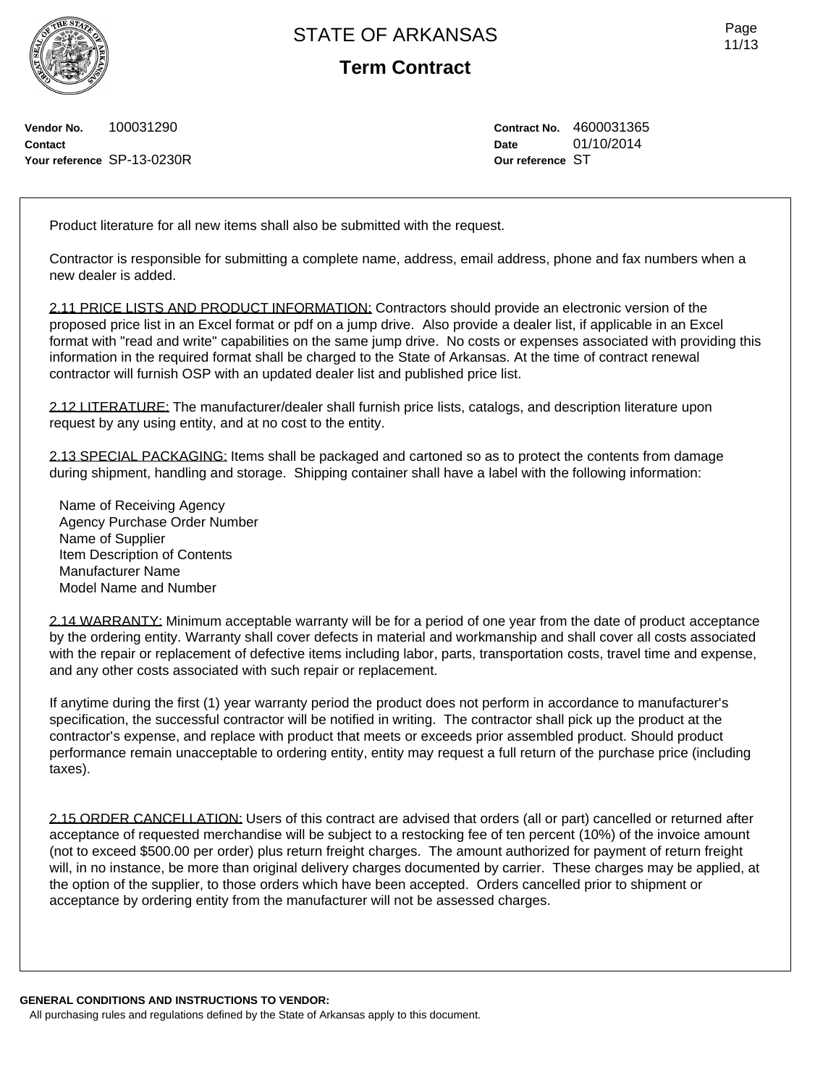**Term Contract**

**Vendor No.** 100031290 **Contact Your reference** SP-13-0230R **Contract No.** 4600031365 **Date** 01/10/2014 **Our reference** ST

Product literature for all new items shall also be submitted with the request.

Contractor is responsible for submitting a complete name, address, email address, phone and fax numbers when a new dealer is added.

2.11 PRICE LISTS AND PRODUCT INFORMATION: Contractors should provide an electronic version of the proposed price list in an Excel format or pdf on a jump drive. Also provide a dealer list, if applicable in an Excel format with "read and write" capabilities on the same jump drive. No costs or expenses associated with providing this information in the required format shall be charged to the State of Arkansas. At the time of contract renewal contractor will furnish OSP with an updated dealer list and published price list.

2.12 LITERATURE: The manufacturer/dealer shall furnish price lists, catalogs, and description literature upon request by any using entity, and at no cost to the entity.

2.13 SPECIAL PACKAGING: Items shall be packaged and cartoned so as to protect the contents from damage during shipment, handling and storage. Shipping container shall have a label with the following information:

Name of Receiving Agency Agency Purchase Order Number Name of Supplier Item Description of Contents Manufacturer Name Model Name and Number

2.14 WARRANTY: Minimum acceptable warranty will be for a period of one year from the date of product acceptance by the ordering entity. Warranty shall cover defects in material and workmanship and shall cover all costs associated with the repair or replacement of defective items including labor, parts, transportation costs, travel time and expense, and any other costs associated with such repair or replacement.

If anytime during the first (1) year warranty period the product does not perform in accordance to manufacturer's specification, the successful contractor will be notified in writing. The contractor shall pick up the product at the contractor's expense, and replace with product that meets or exceeds prior assembled product. Should product performance remain unacceptable to ordering entity, entity may request a full return of the purchase price (including taxes).

2.15 ORDER CANCELLATION: Users of this contract are advised that orders (all or part) cancelled or returned after acceptance of requested merchandise will be subject to a restocking fee of ten percent (10%) of the invoice amount (not to exceed \$500.00 per order) plus return freight charges. The amount authorized for payment of return freight will, in no instance, be more than original delivery charges documented by carrier. These charges may be applied, at the option of the supplier, to those orders which have been accepted. Orders cancelled prior to shipment or acceptance by ordering entity from the manufacturer will not be assessed charges.

**GENERAL CONDITIONS AND INSTRUCTIONS TO VENDOR:** All purchasing rules and regulations defined by the State of Arkansas apply to this document.

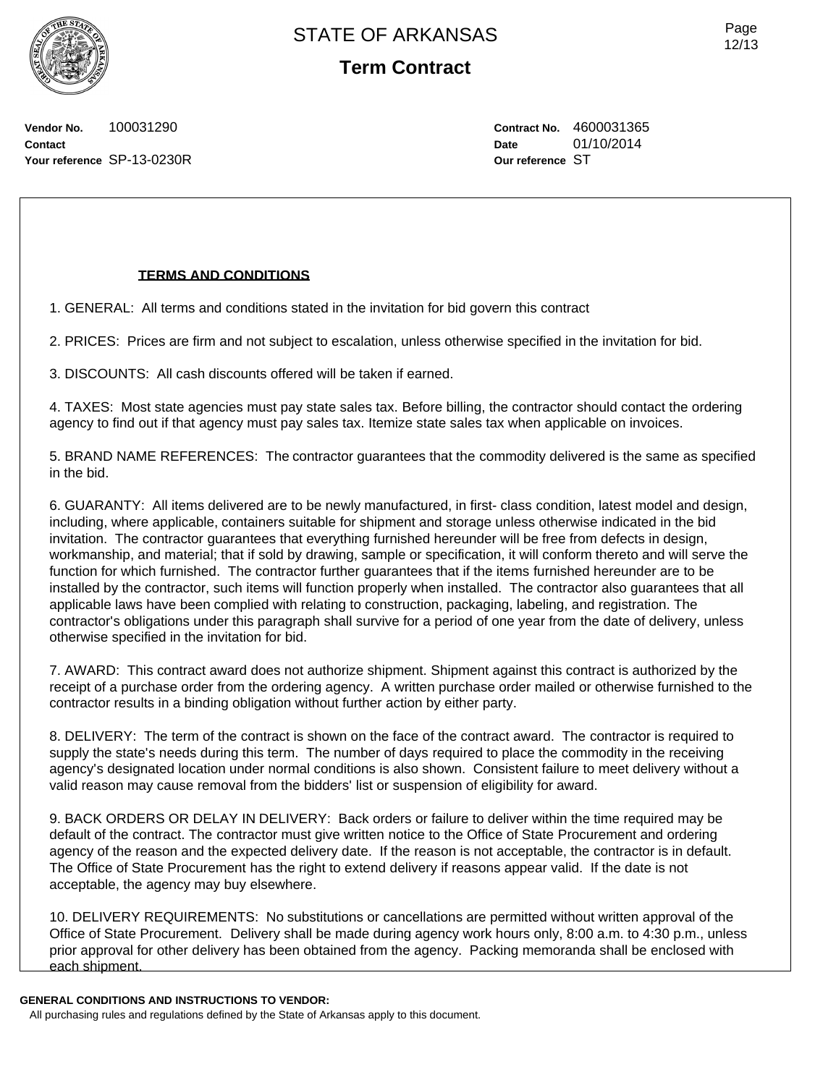Page 12/13

**Vendor No.** 100031290 **Contact Your reference** SP-13-0230R **Contract No.** 4600031365 **Date** 01/10/2014 **Our reference** ST

## **TERMS AND CONDITIONS**

1. GENERAL: All terms and conditions stated in the invitation for bid govern this contract

2. PRICES: Prices are firm and not subject to escalation, unless otherwise specified in the invitation for bid.

3. DISCOUNTS: All cash discounts offered will be taken if earned.

4. TAXES: Most state agencies must pay state sales tax. Before billing, the contractor should contact the ordering agency to find out if that agency must pay sales tax. Itemize state sales tax when applicable on invoices.

5. BRAND NAME REFERENCES: The contractor guarantees that the commodity delivered is the same as specified in the bid.

6. GUARANTY: All items delivered are to be newly manufactured, in first- class condition, latest model and design, including, where applicable, containers suitable for shipment and storage unless otherwise indicated in the bid invitation. The contractor guarantees that everything furnished hereunder will be free from defects in design, workmanship, and material; that if sold by drawing, sample or specification, it will conform thereto and will serve the function for which furnished. The contractor further guarantees that if the items furnished hereunder are to be installed by the contractor, such items will function properly when installed. The contractor also guarantees that all applicable laws have been complied with relating to construction, packaging, labeling, and registration. The contractor's obligations under this paragraph shall survive for a period of one year from the date of delivery, unless otherwise specified in the invitation for bid.

7. AWARD: This contract award does not authorize shipment. Shipment against this contract is authorized by the receipt of a purchase order from the ordering agency. A written purchase order mailed or otherwise furnished to the contractor results in a binding obligation without further action by either party.

8. DELIVERY: The term of the contract is shown on the face of the contract award. The contractor is required to supply the state's needs during this term. The number of days required to place the commodity in the receiving agency's designated location under normal conditions is also shown. Consistent failure to meet delivery without a valid reason may cause removal from the bidders' list or suspension of eligibility for award.

9. BACK ORDERS OR DELAY IN DELIVERY: Back orders or failure to deliver within the time required may be default of the contract. The contractor must give written notice to the Office of State Procurement and ordering agency of the reason and the expected delivery date. If the reason is not acceptable, the contractor is in default. The Office of State Procurement has the right to extend delivery if reasons appear valid. If the date is not acceptable, the agency may buy elsewhere.

10. DELIVERY REQUIREMENTS: No substitutions or cancellations are permitted without written approval of the Office of State Procurement. Delivery shall be made during agency work hours only, 8:00 a.m. to 4:30 p.m., unless prior approval for other delivery has been obtained from the agency. Packing memoranda shall be enclosed with each shipment.

### **GENERAL CONDITIONS AND INSTRUCTIONS TO VENDOR:**